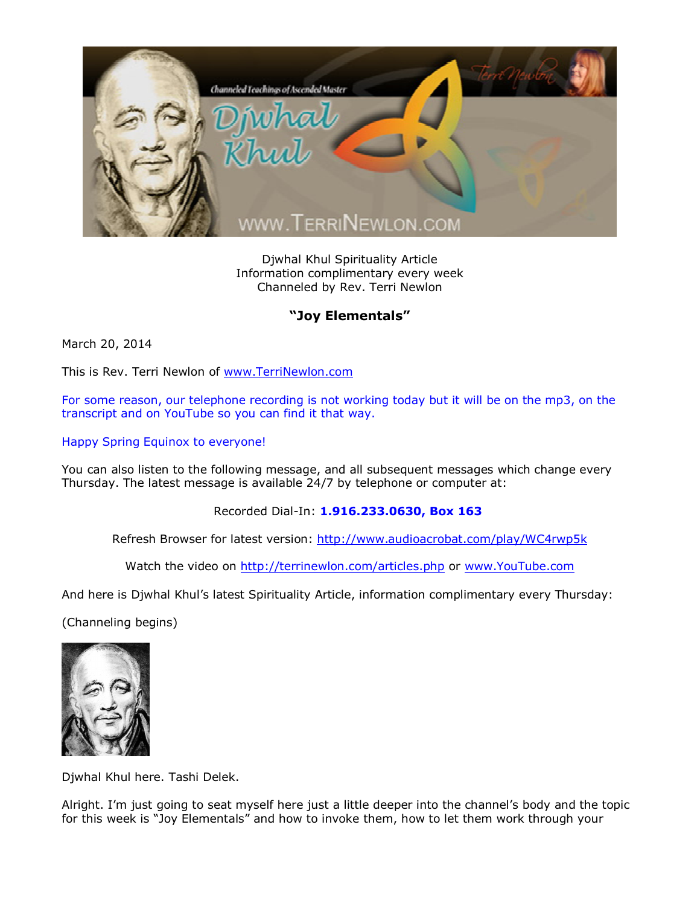

Djwhal Khul Spirituality Article Information complimentary every week Channeled by Rev. Terri Newlon

## **"Joy Elementals"**

March 20, 2014

This is Rev. Terri Newlon of [www.TerriNewlon.com](http://www.terrinewlon.com/)

For some reason, our telephone recording is not working today but it will be on the mp3, on the transcript and on YouTube so you can find it that way.

Happy Spring Equinox to everyone!

You can also listen to the following message, and all subsequent messages which change every Thursday. The latest message is available 24/7 by telephone or computer at:

Recorded Dial-In: **1.916.233.0630, Box 163**

Refresh Browser for latest version: <http://www.audioacrobat.com/play/WC4rwp5k>

Watch the video on <http://terrinewlon.com/articles.php> or [www.YouTube.com](http://www.youtube.com/)

And here is Djwhal Khul's latest Spirituality Article, information complimentary every Thursday:

(Channeling begins)



Djwhal Khul here. Tashi Delek.

Alright. I'm just going to seat myself here just a little deeper into the channel's body and the topic for this week is "Joy Elementals" and how to invoke them, how to let them work through your